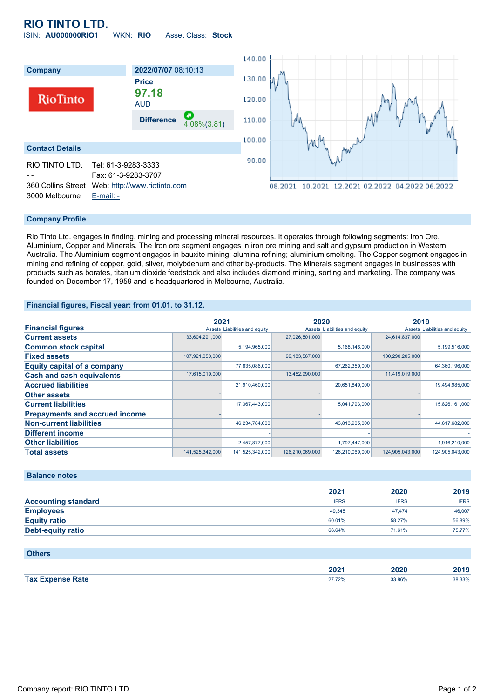# **RIO TINTO LTD.**

ISIN: **AU000000RIO1** WKN: **RIO** Asset Class: **Stock**



### **Company Profile**

Rio Tinto Ltd. engages in finding, mining and processing mineral resources. It operates through following segments: Iron Ore, Aluminium, Copper and Minerals. The Iron ore segment engages in iron ore mining and salt and gypsum production in Western Australia. The Aluminium segment engages in bauxite mining; alumina refining; aluminium smelting. The Copper segment engages in mining and refining of copper, gold, silver, molybdenum and other by-products. The Minerals segment engages in businesses with products such as borates, titanium dioxide feedstock and also includes diamond mining, sorting and marketing. The company was founded on December 17, 1959 and is headquartered in Melbourne, Australia.

#### **Financial figures, Fiscal year: from 01.01. to 31.12.**

|                                       | 2021            |                               | 2020              |                               | 2019            |                               |
|---------------------------------------|-----------------|-------------------------------|-------------------|-------------------------------|-----------------|-------------------------------|
| <b>Financial figures</b>              |                 | Assets Liabilities and equity |                   | Assets Liabilities and equity |                 | Assets Liabilities and equity |
| <b>Current assets</b>                 | 33,604,291,000  |                               | 27,026,501,000    |                               | 24,614,837,000  |                               |
| <b>Common stock capital</b>           |                 | 5,194,965,000                 |                   | 5,168,146,000                 |                 | 5,199,516,000                 |
| <b>Fixed assets</b>                   | 107,921,050,000 |                               | 99, 183, 567, 000 |                               | 100,290,205,000 |                               |
| <b>Equity capital of a company</b>    |                 | 77,835,086,000                |                   | 67,262,359,000                |                 | 64,360,196,000                |
| <b>Cash and cash equivalents</b>      | 17,615,019,000  |                               | 13,452,990,000    |                               | 11,419,019,000  |                               |
| <b>Accrued liabilities</b>            |                 | 21,910,460,000                |                   | 20,651,849,000                |                 | 19,494,985,000                |
| <b>Other assets</b>                   |                 |                               |                   |                               |                 |                               |
| <b>Current liabilities</b>            |                 | 17,367,443,000                |                   | 15,041,793,000                |                 | 15,826,161,000                |
| <b>Prepayments and accrued income</b> |                 |                               |                   |                               |                 |                               |
| <b>Non-current liabilities</b>        |                 | 46,234,784,000                |                   | 43,813,905,000                |                 | 44,617,682,000                |
| <b>Different income</b>               |                 |                               |                   |                               |                 |                               |
| <b>Other liabilities</b>              |                 | 2,457,877,000                 |                   | 1,797,447,000                 |                 | 1,916,210,000                 |
| <b>Total assets</b>                   | 141,525,342,000 | 141,525,342,000               | 126,210,069,000   | 126,210,069,000               | 124,905,043,000 | 124.905.043.000               |

## **Balance notes**

|                            | 2021        | 2020        | 2019        |
|----------------------------|-------------|-------------|-------------|
| <b>Accounting standard</b> | <b>IFRS</b> | <b>IFRS</b> | <b>IFRS</b> |
| <b>Employees</b>           | 49.345      | 47.474      | 46,007      |
| <b>Equity ratio</b>        | 60.01%      | 58.27%      | 56.89%      |
| Debt-equity ratio          | 66.64%      | 71.61%      | 75.77%      |

#### **Others**

|                | הממ<br>ZUZ 1 | .vzu<br>_____ | ,,,,   |
|----------------|--------------|---------------|--------|
| Tax E.<br>Rate |              | 3.86%         | 38.33% |